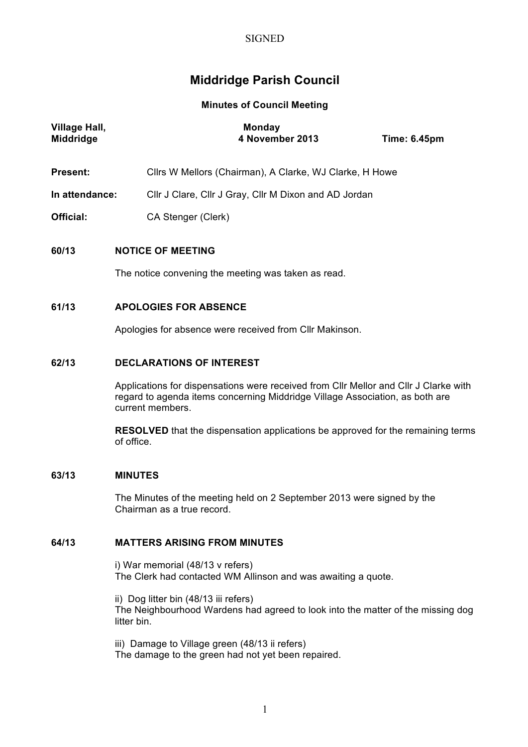## **SIGNED**

# **Middridge Parish Council**

**Minutes of Council Meeting**

| <b>Village Hall,</b><br>Middridge | <b>Monday</b><br>4 November 2013                                                                                                                                                                                                                                                                                                    | <b>Time: 6.45pm</b> |
|-----------------------------------|-------------------------------------------------------------------------------------------------------------------------------------------------------------------------------------------------------------------------------------------------------------------------------------------------------------------------------------|---------------------|
| <b>Present:</b>                   | Cllrs W Mellors (Chairman), A Clarke, WJ Clarke, H Howe                                                                                                                                                                                                                                                                             |                     |
| In attendance:                    | Cllr J Clare, Cllr J Gray, Cllr M Dixon and AD Jordan                                                                                                                                                                                                                                                                               |                     |
| <b>Official:</b>                  | CA Stenger (Clerk)                                                                                                                                                                                                                                                                                                                  |                     |
| 60/13                             | <b>NOTICE OF MEETING</b><br>The notice convening the meeting was taken as read.                                                                                                                                                                                                                                                     |                     |
| 61/13                             | <b>APOLOGIES FOR ABSENCE</b><br>Apologies for absence were received from Cllr Makinson.                                                                                                                                                                                                                                             |                     |
| 62/13                             | <b>DECLARATIONS OF INTEREST</b><br>Applications for dispensations were received from CIIr Mellor and CIIr J Clarke with<br>regard to agenda items concerning Middridge Village Association, as both are<br>current members.<br><b>RESOLVED</b> that the dispensation applications be approved for the remaining terms<br>of office. |                     |

# **63/13 MINUTES**

The Minutes of the meeting held on 2 September 2013 were signed by the Chairman as a true record.

# **64/13 MATTERS ARISING FROM MINUTES**

i) War memorial (48/13 v refers) The Clerk had contacted WM Allinson and was awaiting a quote.

ii) Dog litter bin (48/13 iii refers) The Neighbourhood Wardens had agreed to look into the matter of the missing dog litter bin.

iii) Damage to Village green (48/13 ii refers) The damage to the green had not yet been repaired.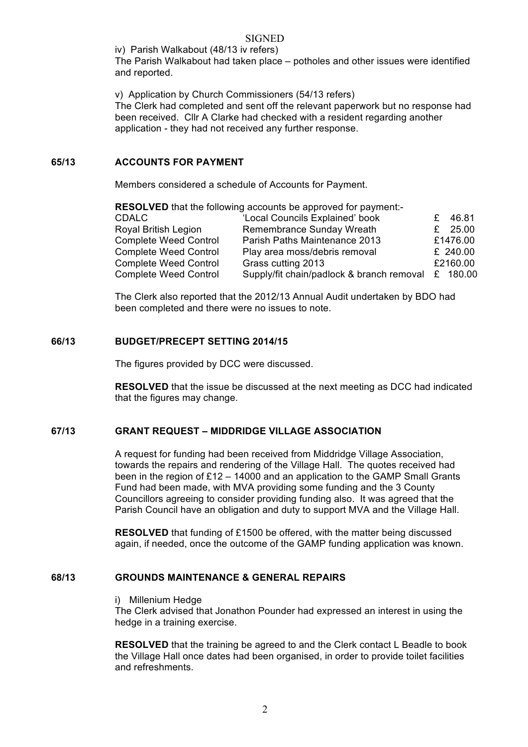#### **SIGNED**

iv) Parish Walkabout (48/13 iv refers)

The Parish Walkabout had taken place – potholes and other issues were identified and reported.

v) Application by Church Commissioners (54/13 refers)

The Clerk had completed and sent off the relevant paperwork but no response had been received. Cllr A Clarke had checked with a resident regarding another application - they had not received any further response.

#### **65/13 ACCOUNTS FOR PAYMENT**

Members considered a schedule of Accounts for Payment.

| <b>RESOLVED</b> that the following accounts be approved for payment:- |                                                    |  |           |  |  |
|-----------------------------------------------------------------------|----------------------------------------------------|--|-----------|--|--|
| <b>CDALC</b>                                                          | 'Local Councils Explained' book                    |  | £ 46.81   |  |  |
| <b>Royal British Legion</b>                                           | Remembrance Sunday Wreath                          |  | £ $25.00$ |  |  |
| <b>Complete Weed Control</b>                                          | Parish Paths Maintenance 2013                      |  | £1476.00  |  |  |
| <b>Complete Weed Control</b>                                          | Play area moss/debris removal                      |  | £ 240.00  |  |  |
| <b>Complete Weed Control</b>                                          | Grass cutting 2013                                 |  | £2160.00  |  |  |
| <b>Complete Weed Control</b>                                          | Supply/fit chain/padlock & branch removal £ 180.00 |  |           |  |  |

The Clerk also reported that the 2012/13 Annual Audit undertaken by BDO had been completed and there were no issues to note.

#### **66/13 BUDGET/PRECEPT SETTING 2014/15**

The figures provided by DCC were discussed.

**RESOLVED** that the issue be discussed at the next meeting as DCC had indicated that the figures may change.

# **67/13 GRANT REQUEST – MIDDRIDGE VILLAGE ASSOCIATION**

A request for funding had been received from Middridge Village Association, towards the repairs and rendering of the Village Hall. The quotes received had been in the region of £12 – 14000 and an application to the GAMP Small Grants Fund had been made, with MVA providing some funding and the 3 County Councillors agreeing to consider providing funding also. It was agreed that the Parish Council have an obligation and duty to support MVA and the Village Hall.

**RESOLVED** that funding of £1500 be offered, with the matter being discussed again, if needed, once the outcome of the GAMP funding application was known.

#### **68/13 GROUNDS MAINTENANCE & GENERAL REPAIRS**

i) Millenium Hedge

The Clerk advised that Jonathon Pounder had expressed an interest in using the hedge in a training exercise.

**RESOLVED** that the training be agreed to and the Clerk contact L Beadle to book the Village Hall once dates had been organised, in order to provide toilet facilities and refreshments.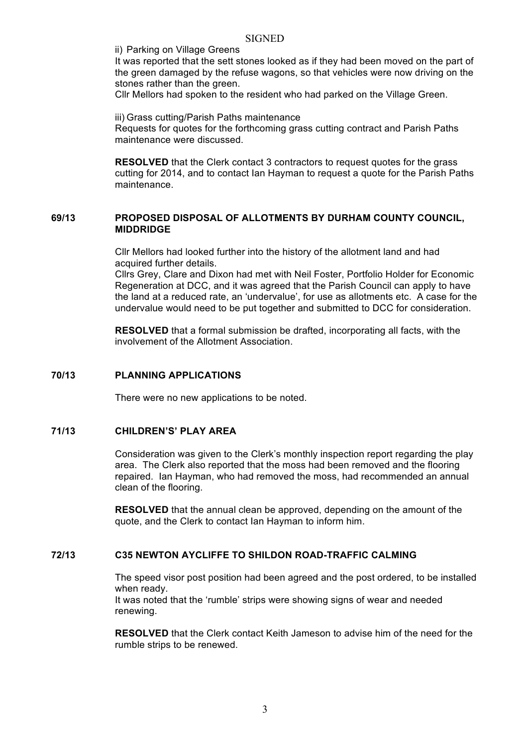ii) Parking on Village Greens

It was reported that the sett stones looked as if they had been moved on the part of the green damaged by the refuse wagons, so that vehicles were now driving on the stones rather than the green.

Cllr Mellors had spoken to the resident who had parked on the Village Green.

iii) Grass cutting/Parish Paths maintenance Requests for quotes for the forthcoming grass cutting contract and Parish Paths maintenance were discussed.

**RESOLVED** that the Clerk contact 3 contractors to request quotes for the grass cutting for 2014, and to contact Ian Hayman to request a quote for the Parish Paths maintenance.

#### **69/13 PROPOSED DISPOSAL OF ALLOTMENTS BY DURHAM COUNTY COUNCIL, MIDDRIDGE**

Cllr Mellors had looked further into the history of the allotment land and had acquired further details.

Cllrs Grey, Clare and Dixon had met with Neil Foster, Portfolio Holder for Economic Regeneration at DCC, and it was agreed that the Parish Council can apply to have the land at a reduced rate, an 'undervalue', for use as allotments etc. A case for the undervalue would need to be put together and submitted to DCC for consideration.

**RESOLVED** that a formal submission be drafted, incorporating all facts, with the involvement of the Allotment Association.

#### **70/13 PLANNING APPLICATIONS**

There were no new applications to be noted.

#### **71/13 CHILDREN'S' PLAY AREA**

Consideration was given to the Clerk's monthly inspection report regarding the play area. The Clerk also reported that the moss had been removed and the flooring repaired. Ian Hayman, who had removed the moss, had recommended an annual clean of the flooring.

**RESOLVED** that the annual clean be approved, depending on the amount of the quote, and the Clerk to contact Ian Hayman to inform him.

#### **72/13 C35 NEWTON AYCLIFFE TO SHILDON ROAD-TRAFFIC CALMING**

The speed visor post position had been agreed and the post ordered, to be installed when ready.

It was noted that the 'rumble' strips were showing signs of wear and needed renewing.

**RESOLVED** that the Clerk contact Keith Jameson to advise him of the need for the rumble strips to be renewed.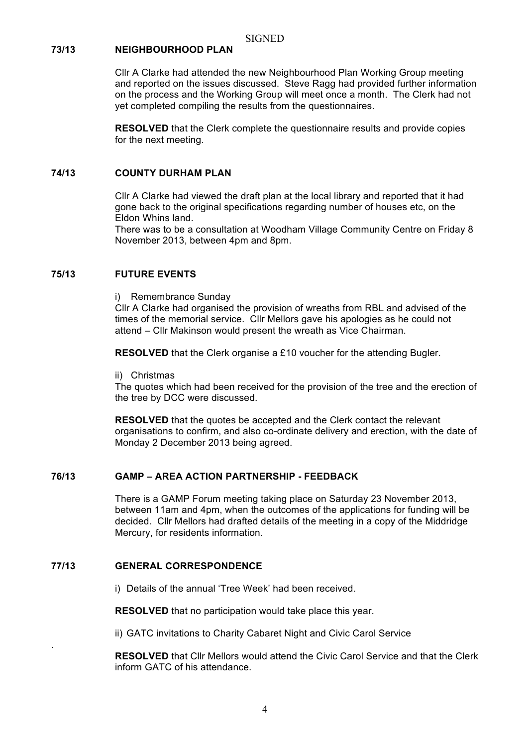## **73/13 NEIGHBOURHOOD PLAN**

Cllr A Clarke had attended the new Neighbourhood Plan Working Group meeting and reported on the issues discussed. Steve Ragg had provided further information on the process and the Working Group will meet once a month. The Clerk had not yet completed compiling the results from the questionnaires.

**RESOLVED** that the Clerk complete the questionnaire results and provide copies for the next meeting.

#### **74/13 COUNTY DURHAM PLAN**

Cllr A Clarke had viewed the draft plan at the local library and reported that it had gone back to the original specifications regarding number of houses etc, on the Eldon Whins land.

There was to be a consultation at Woodham Village Community Centre on Friday 8 November 2013, between 4pm and 8pm.

#### **75/13 FUTURE EVENTS**

i) Remembrance Sunday

Cllr A Clarke had organised the provision of wreaths from RBL and advised of the times of the memorial service. Cllr Mellors gave his apologies as he could not attend – Cllr Makinson would present the wreath as Vice Chairman.

**RESOLVED** that the Clerk organise a £10 voucher for the attending Bugler.

ii) Christmas

The quotes which had been received for the provision of the tree and the erection of the tree by DCC were discussed.

**RESOLVED** that the quotes be accepted and the Clerk contact the relevant organisations to confirm, and also co-ordinate delivery and erection, with the date of Monday 2 December 2013 being agreed.

#### **76/13 GAMP – AREA ACTION PARTNERSHIP - FEEDBACK**

There is a GAMP Forum meeting taking place on Saturday 23 November 2013, between 11am and 4pm, when the outcomes of the applications for funding will be decided. Cllr Mellors had drafted details of the meeting in a copy of the Middridge Mercury, for residents information.

#### **77/13 GENERAL CORRESPONDENCE**

.

i) Details of the annual 'Tree Week' had been received.

**RESOLVED** that no participation would take place this year.

ii) GATC invitations to Charity Cabaret Night and Civic Carol Service

**RESOLVED** that Cllr Mellors would attend the Civic Carol Service and that the Clerk inform GATC of his attendance.